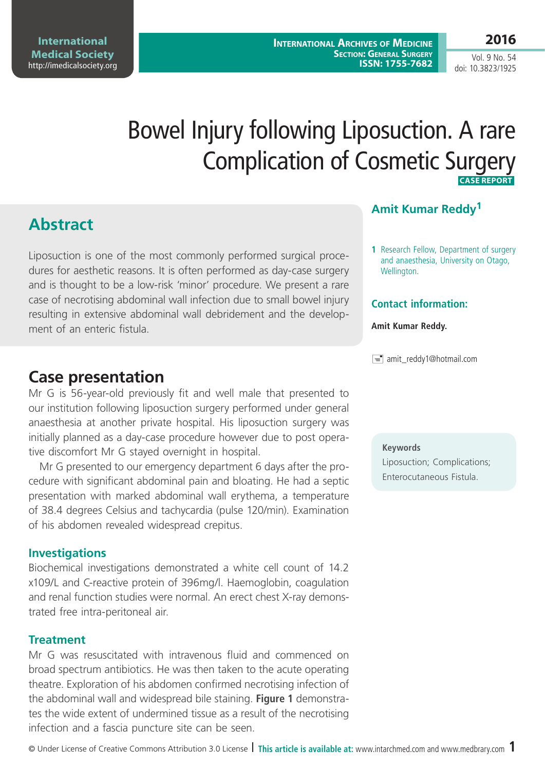Vol. 9 No. 54 doi: 10.3823/1925

# Bowel Injury following Liposuction. A rare Complication of Cosmetic Surgery  **Case Report**

# **Abstract**

Liposuction is one of the most commonly performed surgical procedures for aesthetic reasons. It is often performed as day-case surgery and is thought to be a low-risk 'minor' procedure. We present a rare case of necrotising abdominal wall infection due to small bowel injury resulting in extensive abdominal wall debridement and the development of an enteric fistula

# **Case presentation**

Mr G is 56-year-old previously fit and well male that presented to our institution following liposuction surgery performed under general anaesthesia at another private hospital. His liposuction surgery was initially planned as a day-case procedure however due to post operative discomfort Mr G stayed overnight in hospital.

Mr G presented to our emergency department 6 days after the procedure with significant abdominal pain and bloating. He had a septic presentation with marked abdominal wall erythema, a temperature of 38.4 degrees Celsius and tachycardia (pulse 120/min). Examination of his abdomen revealed widespread crepitus.

## **Investigations**

Biochemical investigations demonstrated a white cell count of 14.2 x109/L and C-reactive protein of 396mg/l. Haemoglobin, coagulation and renal function studies were normal. An erect chest X-ray demonstrated free intra-peritoneal air.

## **Treatment**

Mr G was resuscitated with intravenous fluid and commenced on broad spectrum antibiotics. He was then taken to the acute operating theatre. Exploration of his abdomen confirmed necrotising infection of the abdominal wall and widespread bile staining. **Figure 1** demonstrates the wide extent of undermined tissue as a result of the necrotising infection and a fascia puncture site can be seen.

## **Amit Kumar Reddy1**

**1** Research Fellow, Department of surgery and anaesthesia, University on Otago, Wellington.

## **Contact information:**

#### **Amit Kumar Reddy.**

amit\_reddy1@hotmail.com

**Keywords**

Liposuction; Complications; Enterocutaneous Fistula.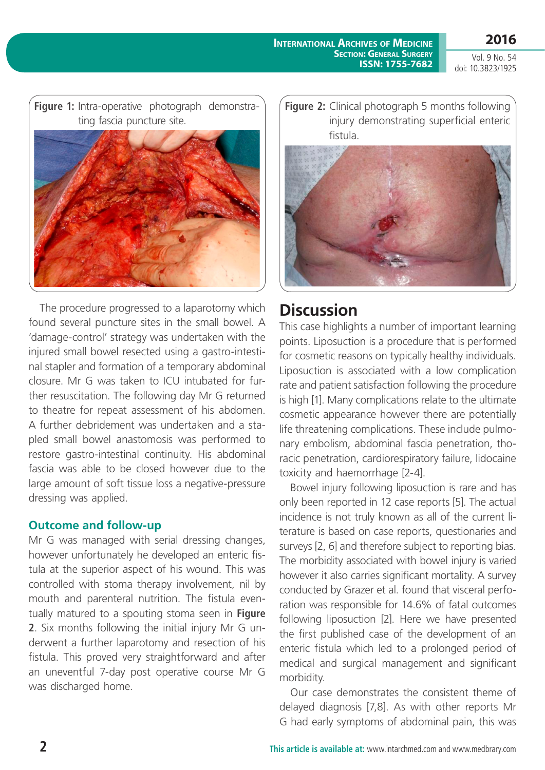**2016**

#### **International Archives of Medicine Section: General Surgery ISSN: 1755-7682**

Vol. 9 No. 54 doi: 10.3823/1925



The procedure progressed to a laparotomy which found several puncture sites in the small bowel. A 'damage-control' strategy was undertaken with the injured small bowel resected using a gastro-intestinal stapler and formation of a temporary abdominal closure. Mr G was taken to ICU intubated for further resuscitation. The following day Mr G returned to theatre for repeat assessment of his abdomen. A further debridement was undertaken and a stapled small bowel anastomosis was performed to restore gastro-intestinal continuity. His abdominal fascia was able to be closed however due to the large amount of soft tissue loss a negative-pressure dressing was applied.

## **Outcome and follow-up**

Mr G was managed with serial dressing changes, however unfortunately he developed an enteric fistula at the superior aspect of his wound. This was controlled with stoma therapy involvement, nil by mouth and parenteral nutrition. The fistula eventually matured to a spouting stoma seen in **Figure 2**. Six months following the initial injury Mr G underwent a further laparotomy and resection of his fistula. This proved very straightforward and after an uneventful 7-day post operative course Mr G was discharged home.

**Figure 2:** Clinical photograph 5 months following injury demonstrating superficial enteric fistula.



# **Discussion**

This case highlights a number of important learning points. Liposuction is a procedure that is performed for cosmetic reasons on typically healthy individuals. Liposuction is associated with a low complication rate and patient satisfaction following the procedure is high [1]. Many complications relate to the ultimate cosmetic appearance however there are potentially life threatening complications. These include pulmonary embolism, abdominal fascia penetration, thoracic penetration, cardiorespiratory failure, lidocaine toxicity and haemorrhage [2-4].

Bowel injury following liposuction is rare and has only been reported in 12 case reports [5]. The actual incidence is not truly known as all of the current literature is based on case reports, questionaries and surveys [2, 6] and therefore subject to reporting bias. The morbidity associated with bowel injury is varied however it also carries significant mortality. A survey conducted by Grazer et al. found that visceral perforation was responsible for 14.6% of fatal outcomes following liposuction [2]. Here we have presented the first published case of the development of an enteric fistula which led to a prolonged period of medical and surgical management and significant morbidity.

Our case demonstrates the consistent theme of delayed diagnosis [7,8]. As with other reports Mr G had early symptoms of abdominal pain, this was